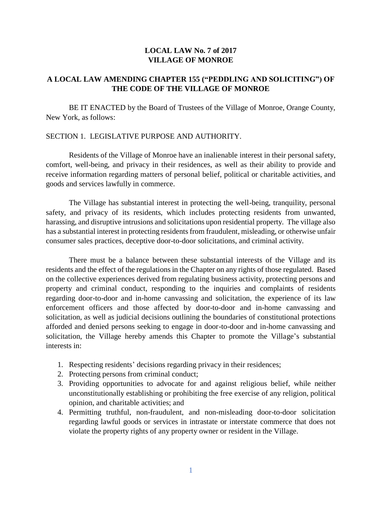### **LOCAL LAW No. 7 of 2017 VILLAGE OF MONROE**

## **A LOCAL LAW AMENDING CHAPTER 155 ("PEDDLING AND SOLICITING") OF THE CODE OF THE VILLAGE OF MONROE**

BE IT ENACTED by the Board of Trustees of the Village of Monroe, Orange County, New York, as follows:

#### SECTION 1. LEGISLATIVE PURPOSE AND AUTHORITY.

Residents of the Village of Monroe have an inalienable interest in their personal safety, comfort, well-being, and privacy in their residences, as well as their ability to provide and receive information regarding matters of personal belief, political or charitable activities, and goods and services lawfully in commerce.

The Village has substantial interest in protecting the well-being, tranquility, personal safety, and privacy of its residents, which includes protecting residents from unwanted, harassing, and disruptive intrusions and solicitations upon residential property. The village also has a substantial interest in protecting residents from fraudulent, misleading, or otherwise unfair consumer sales practices, deceptive door-to-door solicitations, and criminal activity.

There must be a balance between these substantial interests of the Village and its residents and the effect of the regulations in the Chapter on any rights of those regulated. Based on the collective experiences derived from regulating business activity, protecting persons and property and criminal conduct, responding to the inquiries and complaints of residents regarding door-to-door and in-home canvassing and solicitation, the experience of its law enforcement officers and those affected by door-to-door and in-home canvassing and solicitation, as well as judicial decisions outlining the boundaries of constitutional protections afforded and denied persons seeking to engage in door-to-door and in-home canvassing and solicitation, the Village hereby amends this Chapter to promote the Village's substantial interests in:

- 1. Respecting residents' decisions regarding privacy in their residences;
- 2. Protecting persons from criminal conduct;
- 3. Providing opportunities to advocate for and against religious belief, while neither unconstitutionally establishing or prohibiting the free exercise of any religion, political opinion, and charitable activities; and
- 4. Permitting truthful, non-fraudulent, and non-misleading door-to-door solicitation regarding lawful goods or services in intrastate or interstate commerce that does not violate the property rights of any property owner or resident in the Village.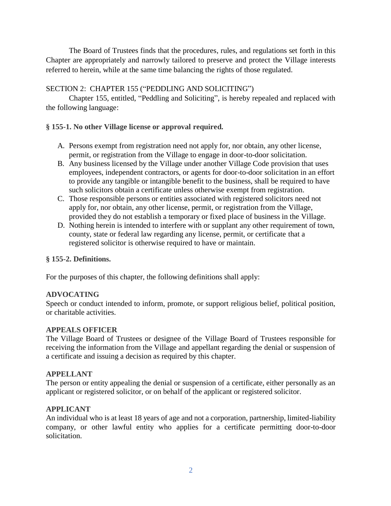The Board of Trustees finds that the procedures, rules, and regulations set forth in this Chapter are appropriately and narrowly tailored to preserve and protect the Village interests referred to herein, while at the same time balancing the rights of those regulated.

## SECTION 2: CHAPTER 155 ("PEDDLING AND SOLICITING")

Chapter 155, entitled, "Peddling and Soliciting", is hereby repealed and replaced with the following language:

## **§ [155-1. No other Village license or approval required.](https://www.ecode360.com/print/MO0222?guid=7233736&children=true#7233737)**

- A. Persons exempt from registration need not apply for, nor obtain, any other license, permit, or registration from the Village to engage in door-to-door solicitation.
- B. Any business licensed by the Village under another Village Code provision that uses employees, independent contractors, or agents for door-to-door solicitation in an effort to provide any tangible or intangible benefit to the business, shall be required to have such solicitors obtain a certificate unless otherwise exempt from registration.
- C. Those responsible persons or entities associated with registered solicitors need not apply for, nor obtain, any other license, permit, or registration from the Village, provided they do not establish a temporary or fixed place of business in the Village.
- D. Nothing herein is intended to interfere with or supplant any other requirement of town, county, state or federal law regarding any license, permit, or certificate that a registered solicitor is otherwise required to have or maintain.

## **§ [155-2. Definitions.](https://www.ecode360.com/print/MO0222?guid=7233736&children=true#7233740)**

For the purposes of this chapter, the following definitions shall apply:

# **[ADVOCATING](https://www.ecode360.com/print/33112326#33112326)**

Speech or conduct intended to inform, promote, or support religious belief, political position, or charitable activities.

# **[APPEALS OFFICER](https://www.ecode360.com/print/33112327#33112327)**

The Village Board of Trustees or designee of the Village Board of Trustees responsible for receiving the information from the Village and appellant regarding the denial or suspension of a certificate and issuing a decision as required by this chapter.

# **[APPELLANT](https://www.ecode360.com/print/33112328#33112328)**

The person or entity appealing the denial or suspension of a certificate, either personally as an applicant or registered solicitor, or on behalf of the applicant or registered solicitor.

# **[APPLICANT](https://www.ecode360.com/print/33112329#33112329)**

An individual who is at least 18 years of age and not a corporation, partnership, limited-liability company, or other lawful entity who applies for a certificate permitting door-to-door solicitation.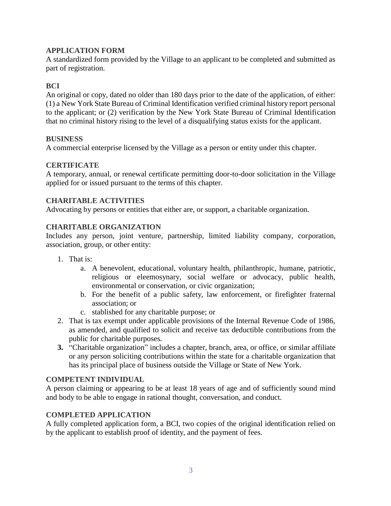### **[APPLICATION FORM](https://www.ecode360.com/print/33112330#33112330)**

A standardized form provided by the Village to an applicant to be completed and submitted as part of registration.

## **[BCI](https://www.ecode360.com/print/33112331#33112331)**

An original or copy, dated no older than 180 days prior to the date of the application, of either: (1) a New York State Bureau of Criminal Identification verified criminal history report personal to the applicant; or (2) verification by the New York State Bureau of Criminal Identification that no criminal history rising to the level of a disqualifying status exists for the applicant.

### **[BUSINESS](https://www.ecode360.com/print/33112332#33112332)**

A commercial enterprise licensed by the Village as a person or entity under this chapter.

### **[CERTIFICATE](https://www.ecode360.com/print/33112333#33112333)**

A temporary, annual, or renewal certificate permitting door-to-door solicitation in the Village applied for or issued pursuant to the terms of this chapter.

### **[CHARITABLE ACTIVITIES](https://www.ecode360.com/print/33112334#33112334)**

Advocating by persons or entities that either are, or support, a charitable organization.

### **[CHARITABLE ORGANIZATION](https://www.ecode360.com/print/33112335#33112335)**

Includes any person, joint venture, partnership, limited liability company, corporation, association, group, or other entity:

- 1. That is:
	- a. A benevolent, educational, voluntary health, philanthropic, humane, patriotic, religious or eleemosynary, social welfare or advocacy, public health, environmental or conservation, or civic organization;
	- b. For the benefit of a public safety, law enforcement, or firefighter fraternal association; or
	- c. stablished for any charitable purpose; or
- 2. That is tax exempt under applicable provisions of the Internal Revenue Code of 1986, as amended, and qualified to solicit and receive tax deductible contributions from the public for charitable purposes.
- **3.** "Charitable organization" includes a chapter, branch, area, or office, or similar affiliate or any person soliciting contributions within the state for a charitable organization that has its principal place of business outside the Village or State of New York.

#### **[COMPETENT INDIVIDUAL](https://www.ecode360.com/print/33112342#33112342)**

A person claiming or appearing to be at least 18 years of age and of sufficiently sound mind and body to be able to engage in rational thought, conversation, and conduct.

#### **[COMPLETED APPLICATION](https://www.ecode360.com/print/33112343#33112343)**

A fully completed application form, a BCI, two copies of the original identification relied on by the applicant to establish proof of identity, and the payment of fees.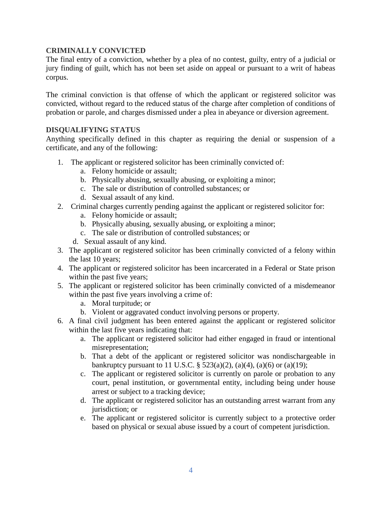### **[CRIMINALLY](https://www.ecode360.com/print/33112344#33112344) CONVICTED**

The final entry of a conviction, whether by a plea of no contest, guilty, entry of a judicial or jury finding of guilt, which has not been set aside on appeal or pursuant to a writ of habeas corpus.

The criminal conviction is that offense of which the applicant or registered solicitor was convicted, without regard to the reduced status of the charge after completion of conditions of probation or parole, and charges dismissed under a plea in abeyance or diversion agreement.

#### **[DISQUALIFYING STATUS](https://www.ecode360.com/print/33112345#33112345)**

Anything specifically defined in this chapter as requiring the denial or suspension of a certificate, and any of the following:

- 1. The applicant or registered solicitor has been criminally convicted of:
	- a. Felony homicide or assault;
	- b. Physically abusing, sexually abusing, or exploiting a minor;
	- c. The sale or distribution of controlled substances; or
	- d. Sexual assault of any kind.
- 2. Criminal charges currently pending against the applicant or registered solicitor for:
	- a. Felony homicide or assault;
	- b. Physically abusing, sexually abusing, or exploiting a minor;
	- c. The sale or distribution of controlled substances; or
	- d. Sexual assault of any kind.
- 3. The applicant or registered solicitor has been criminally convicted of a felony within the last 10 years;
- 4. The applicant or registered solicitor has been incarcerated in a Federal or State prison within the past five years;
- 5. The applicant or registered solicitor has been criminally convicted of a misdemeanor within the past five years involving a crime of:
	- a. Moral turpitude; or
	- b. Violent or aggravated conduct involving persons or property.
- 6. A final civil judgment has been entered against the applicant or registered solicitor within the last five years indicating that:
	- a. The applicant or registered solicitor had either engaged in fraud or intentional misrepresentation;
	- b. That a debt of the applicant or registered solicitor was nondischargeable in bankruptcy pursuant to 11 U.S.C. § 523(a)(2), (a)(4), (a)(6) or (a)(19);
	- c. The applicant or registered solicitor is currently on parole or probation to any court, penal institution, or governmental entity, including being under house arrest or subject to a tracking device;
	- d. The applicant or registered solicitor has an outstanding arrest warrant from any jurisdiction; or
	- e. The applicant or registered solicitor is currently subject to a protective order based on physical or sexual abuse issued by a court of competent jurisdiction.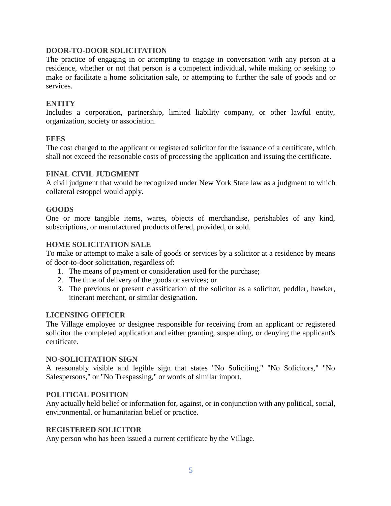### **[DOOR-TO-DOOR SOLICITATION](https://www.ecode360.com/print/33112367#33112367)**

The practice of engaging in or attempting to engage in conversation with any person at a residence, whether or not that person is a competent individual, while making or seeking to make or facilitate a home solicitation sale, or attempting to further the sale of goods and or services.

## **[ENTITY](https://www.ecode360.com/print/33112368#33112368)**

Includes a corporation, partnership, limited liability company, or other lawful entity, organization, society or association.

#### **[FEES](https://www.ecode360.com/print/33112369#33112369)**

The cost charged to the applicant or registered solicitor for the issuance of a certificate, which shall not exceed the reasonable costs of processing the application and issuing the certificate.

#### **[FINAL CIVIL JUDGMENT](https://www.ecode360.com/print/33112370#33112370)**

A civil judgment that would be recognized under New York State law as a judgment to which collateral estoppel would apply.

#### **[GOODS](https://www.ecode360.com/print/33112371#33112371)**

One or more tangible items, wares, objects of merchandise, perishables of any kind, subscriptions, or manufactured products offered, provided, or sold.

#### **[HOME SOLICITATION SALE](https://www.ecode360.com/print/33112372#33112372)**

To make or attempt to make a sale of goods or services by a solicitor at a residence by means of door-to-door solicitation, regardless of:

- 1. The means of payment or consideration used for the purchase;
- 2. The time of delivery of the goods or services; or
- 3. The previous or present classification of the solicitor as a solicitor, peddler, hawker, itinerant merchant, or similar designation.

#### **[LICENSING OFFICER](https://www.ecode360.com/print/33112376#33112376)**

The Village employee or designee responsible for receiving from an applicant or registered solicitor the completed application and either granting, suspending, or denying the applicant's certificate.

#### **[NO-SOLICITATION SIGN](https://www.ecode360.com/print/33112377#33112377)**

A reasonably visible and legible sign that states "No Soliciting," "No Solicitors," "No Salespersons," or "No Trespassing," or words of similar import.

#### **[POLITICAL POSITION](https://www.ecode360.com/print/33112378#33112378)**

Any actually held belief or information for, against, or in conjunction with any political, social, environmental, or humanitarian belief or practice.

#### **[REGISTERED SOLICITOR](https://www.ecode360.com/print/33112379#33112379)**

Any person who has been issued a current certificate by the Village.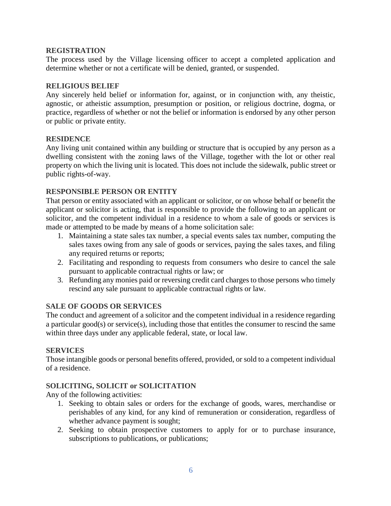### **[REGISTRATION](https://www.ecode360.com/print/33112380#33112380)**

The process used by the Village licensing officer to accept a completed application and determine whether or not a certificate will be denied, granted, or suspended.

### **[RELIGIOUS BELIEF](https://www.ecode360.com/print/33112381#33112381)**

Any sincerely held belief or information for, against, or in conjunction with, any theistic, agnostic, or atheistic assumption, presumption or position, or religious doctrine, dogma, or practice, regardless of whether or not the belief or information is endorsed by any other person or public or private entity.

#### **[RESIDENCE](https://www.ecode360.com/print/33112382#33112382)**

Any living unit contained within any building or structure that is occupied by any person as a dwelling consistent with the zoning laws of the Village, together with the lot or other real property on which the living unit is located. This does not include the sidewalk, public street or public rights-of-way.

### **[RESPONSIBLE PERSON OR ENTITY](https://www.ecode360.com/print/33112383#33112383)**

That person or entity associated with an applicant or solicitor, or on whose behalf or benefit the applicant or solicitor is acting, that is responsible to provide the following to an applicant or solicitor, and the competent individual in a residence to whom a sale of goods or services is made or attempted to be made by means of a home solicitation sale:

- 1. Maintaining a state sales tax number, a special events sales tax number, computing the sales taxes owing from any sale of goods or services, paying the sales taxes, and filing any required returns or reports;
- 2. Facilitating and responding to requests from consumers who desire to cancel the sale pursuant to applicable contractual rights or law; or
- 3. Refunding any monies paid or reversing credit card charges to those persons who timely rescind any sale pursuant to applicable contractual rights or law.

## **[SALE OF GOODS OR SERVICES](https://www.ecode360.com/print/33112387#33112387)**

The conduct and agreement of a solicitor and the competent individual in a residence regarding a particular good(s) or service(s), including those that entitles the consumer to rescind the same within three days under any applicable federal, state, or local law.

#### **[SERVICES](https://www.ecode360.com/print/33112388#33112388)**

Those intangible goods or personal benefits offered, provided, or sold to a competent individual of a residence.

## **[SOLICITING, SOLICIT or SOLICITATION](https://www.ecode360.com/print/33112389#33112389)**

Any of the following activities:

- 1. Seeking to obtain sales or orders for the exchange of goods, wares, merchandise or perishables of any kind, for any kind of remuneration or consideration, regardless of whether advance payment is sought;
- 2. Seeking to obtain prospective customers to apply for or to purchase insurance, subscriptions to publications, or publications;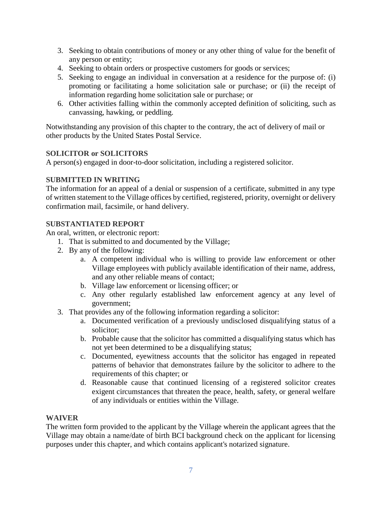- 3. Seeking to obtain contributions of money or any other thing of value for the benefit of any person or entity;
- 4. Seeking to obtain orders or prospective customers for goods or services;
- 5. Seeking to engage an individual in conversation at a residence for the purpose of: (i) promoting or facilitating a home solicitation sale or purchase; or (ii) the receipt of information regarding home solicitation sale or purchase; or
- 6. Other activities falling within the commonly accepted definition of soliciting, such as canvassing, hawking, or peddling.

Notwithstanding any provision of this chapter to the contrary, the act of delivery of mail or other products by the United States Postal Service.

## **[SOLICITOR or SOLICITORS](https://www.ecode360.com/print/33112396#33112396)**

A person(s) engaged in door-to-door solicitation, including a registered solicitor.

# **[SUBMITTED IN WRITING](https://www.ecode360.com/print/33112397#33112397)**

The information for an appeal of a denial or suspension of a certificate, submitted in any type of written statement to the Village offices by certified, registered, priority, overnight or delivery confirmation mail, facsimile, or hand delivery.

## **[SUBSTANTIATED REPORT](https://www.ecode360.com/print/33112398#33112398)**

An oral, written, or electronic report:

- 1. That is submitted to and documented by the Village;
- 2. By any of the following:
	- a. A competent individual who is willing to provide law enforcement or other Village employees with publicly available identification of their name, address, and any other reliable means of contact;
	- b. Village law enforcement or licensing officer; or
	- c. Any other regularly established law enforcement agency at any level of government;
- 3. That provides any of the following information regarding a solicitor:
	- a. Documented verification of a previously undisclosed disqualifying status of a solicitor;
	- b. Probable cause that the solicitor has committed a disqualifying status which has not yet been determined to be a disqualifying status;
	- c. Documented, eyewitness accounts that the solicitor has engaged in repeated patterns of behavior that demonstrates failure by the solicitor to adhere to the requirements of this chapter; or
	- d. Reasonable cause that continued licensing of a registered solicitor creates exigent circumstances that threaten the peace, health, safety, or general welfare of any individuals or entities within the Village.

## **[WAIVER](https://www.ecode360.com/print/33112409#33112409)**

The written form provided to the applicant by the Village wherein the applicant agrees that the Village may obtain a name/date of birth BCI background check on the applicant for licensing purposes under this chapter, and which contains applicant's notarized signature.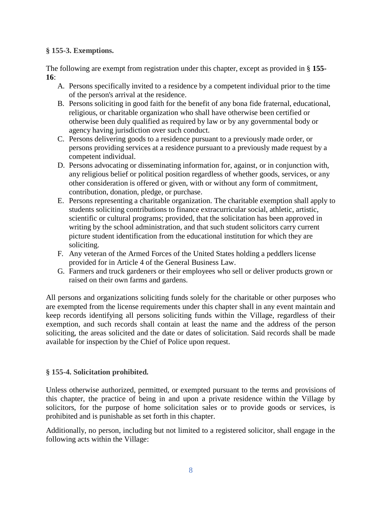### **§ [155-3. Exemptions.](https://www.ecode360.com/print/MO0222?guid=7233736&children=true#7233741)**

The following are exempt from registration under this chapter, except as provided in § **[155-](https://www.ecode360.com/print/15368643#15368643) [16](https://www.ecode360.com/print/15368643#15368643)**:

- A. Persons specifically invited to a residence by a competent individual prior to the time of the person's arrival at the residence.
- B. Persons soliciting in good faith for the benefit of any bona fide fraternal, educational, religious, or charitable organization who shall have otherwise been certified or otherwise been duly qualified as required by law or by any governmental body or agency having jurisdiction over such conduct.
- C. Persons delivering goods to a residence pursuant to a previously made order, or persons providing services at a residence pursuant to a previously made request by a competent individual.
- D. Persons advocating or disseminating information for, against, or in conjunction with, any religious belief or political position regardless of whether goods, services, or any other consideration is offered or given, with or without any form of commitment, contribution, donation, pledge, or purchase.
- E. Persons representing a charitable organization. The charitable exemption shall apply to students soliciting contributions to finance extracurricular social, athletic, artistic, scientific or cultural programs; provided, that the solicitation has been approved in writing by the school administration, and that such student solicitors carry current picture student identification from the educational institution for which they are soliciting.
- F. Any veteran of the Armed Forces of the United States holding a peddlers license provided for in Article 4 of the General Business Law.
- G. Farmers and truck gardeners or their employees who sell or deliver products grown or raised on their own farms and gardens.

All persons and organizations soliciting funds solely for the charitable or other purposes who are exempted from the license requirements under this chapter shall in any event maintain and keep records identifying all persons soliciting funds within the Village, regardless of their exemption, and such records shall contain at least the name and the address of the person soliciting, the areas solicited and the date or dates of solicitation. Said records shall be made available for inspection by the Chief of Police upon request.

## **§ [155-4. Solicitation prohibited.](https://www.ecode360.com/print/MO0222?guid=7233736&children=true#7233745)**

Unless otherwise authorized, permitted, or exempted pursuant to the terms and provisions of this chapter, the practice of being in and upon a private residence within the Village by solicitors, for the purpose of home solicitation sales or to provide goods or services, is prohibited and is punishable as set forth in this chapter.

Additionally, no person, including but not limited to a registered solicitor, shall engage in the following acts within the Village: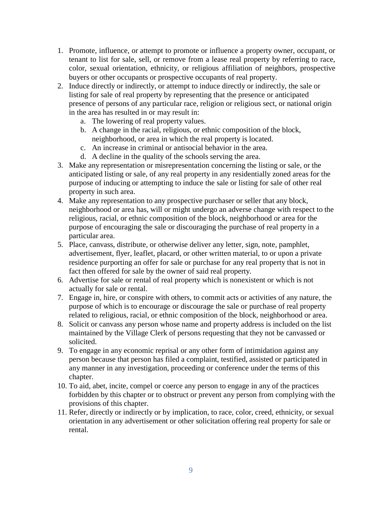- 1. Promote, influence, or attempt to promote or influence a property owner, occupant, or tenant to list for sale, sell, or remove from a lease real property by referring to race, color, sexual orientation, ethnicity, or religious affiliation of neighbors, prospective buyers or other occupants or prospective occupants of real property.
- 2. Induce directly or indirectly, or attempt to induce directly or indirectly, the sale or listing for sale of real property by representing that the presence or anticipated presence of persons of any particular race, religion or religious sect, or national origin in the area has resulted in or may result in:
	- a. The lowering of real property values.
	- b. A change in the racial, religious, or ethnic composition of the block, neighborhood, or area in which the real property is located.
	- c. An increase in criminal or antisocial behavior in the area.
	- d. A decline in the quality of the schools serving the area.
- 3. Make any representation or misrepresentation concerning the listing or sale, or the anticipated listing or sale, of any real property in any residentially zoned areas for the purpose of inducing or attempting to induce the sale or listing for sale of other real property in such area.
- 4. Make any representation to any prospective purchaser or seller that any block, neighborhood or area has, will or might undergo an adverse change with respect to the religious, racial, or ethnic composition of the block, neighborhood or area for the purpose of encouraging the sale or discouraging the purchase of real property in a particular area.
- 5. Place, canvass, distribute, or otherwise deliver any letter, sign, note, pamphlet, advertisement, flyer, leaflet, placard, or other written material, to or upon a private residence purporting an offer for sale or purchase for any real property that is not in fact then offered for sale by the owner of said real property.
- 6. Advertise for sale or rental of real property which is nonexistent or which is not actually for sale or rental.
- 7. Engage in, hire, or conspire with others, to commit acts or activities of any nature, the purpose of which is to encourage or discourage the sale or purchase of real property related to religious, racial, or ethnic composition of the block, neighborhood or area.
- 8. Solicit or canvass any person whose name and property address is included on the list maintained by the Village Clerk of persons requesting that they not be canvassed or solicited.
- 9. To engage in any economic reprisal or any other form of intimidation against any person because that person has filed a complaint, testified, assisted or participated in any manner in any investigation, proceeding or conference under the terms of this chapter.
- 10. To aid, abet, incite, compel or coerce any person to engage in any of the practices forbidden by this chapter or to obstruct or prevent any person from complying with the provisions of this chapter.
- 11. Refer, directly or indirectly or by implication, to race, color, creed, ethnicity, or sexual orientation in any advertisement or other solicitation offering real property for sale or rental.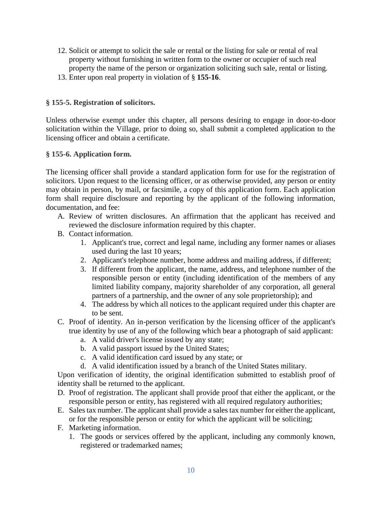- 12. Solicit or attempt to solicit the sale or rental or the listing for sale or rental of real property without furnishing in written form to the owner or occupier of such real property the name of the person or organization soliciting such sale, rental or listing.
- 13. Enter upon real property in violation of § **[155-16](https://www.ecode360.com/print/15368643#15368643)**.

### **§ [155-5. Registration of solicitors.](https://www.ecode360.com/print/MO0222?guid=7233736&children=true#7233746)**

Unless otherwise exempt under this chapter, all persons desiring to engage in door-to-door solicitation within the Village, prior to doing so, shall submit a completed application to the licensing officer and obtain a certificate.

#### **§ [155-6. Application form.](https://www.ecode360.com/print/MO0222?guid=7233736&children=true#7233747)**

The licensing officer shall provide a standard application form for use for the registration of solicitors. Upon request to the licensing officer, or as otherwise provided, any person or entity may obtain in person, by mail, or facsimile, a copy of this application form. Each application form shall require disclosure and reporting by the applicant of the following information, documentation, and fee:

- A. Review of written disclosures. An affirmation that the applicant has received and reviewed the disclosure information required by this chapter.
- B. Contact information.
	- 1. Applicant's true, correct and legal name, including any former names or aliases used during the last 10 years;
	- 2. Applicant's telephone number, home address and mailing address, if different;
	- 3. If different from the applicant, the name, address, and telephone number of the responsible person or entity (including identification of the members of any limited liability company, majority shareholder of any corporation, all general partners of a partnership, and the owner of any sole proprietorship); and
	- 4. The address by which all notices to the applicant required under this chapter are to be sent.
- C. Proof of identity. An in-person verification by the licensing officer of the applicant's true identity by use of any of the following which bear a photograph of said applicant:
	- a. A valid driver's license issued by any state;
	- b. A valid passport issued by the United States;
	- c. A valid identification card issued by any state; or
	- d. A valid identification issued by a branch of the United States military.

Upon verification of identity, the original identification submitted to establish proof of identity shall be returned to the applicant.

- D. Proof of registration. The applicant shall provide proof that either the applicant, or the responsible person or entity, has registered with all required regulatory authorities;
- E. Sales tax number. The applicant shall provide a sales tax number for either the applicant, or for the responsible person or entity for which the applicant will be soliciting;
- F. Marketing information.
	- 1. The goods or services offered by the applicant, including any commonly known, registered or trademarked names;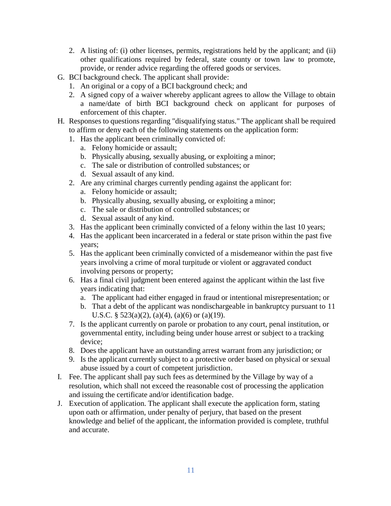- 2. A listing of: (i) other licenses, permits, registrations held by the applicant; and (ii) other qualifications required by federal, state county or town law to promote, provide, or render advice regarding the offered goods or services.
- G. BCI background check. The applicant shall provide:
	- 1. An original or a copy of a BCI background check; and
	- 2. A signed copy of a waiver whereby applicant agrees to allow the Village to obtain a name/date of birth BCI background check on applicant for purposes of enforcement of this chapter.
- H. Responses to questions regarding "disqualifying status." The applicant shall be required to affirm or deny each of the following statements on the application form:
	- 1. Has the applicant been criminally convicted of:
		- a. Felony homicide or assault;
		- b. Physically abusing, sexually abusing, or exploiting a minor;
		- c. The sale or distribution of controlled substances; or
		- d. Sexual assault of any kind.
	- 2. Are any criminal charges currently pending against the applicant for:
		- a. Felony homicide or assault;
		- b. Physically abusing, sexually abusing, or exploiting a minor;
		- c. The sale or distribution of controlled substances; or
		- d. Sexual assault of any kind.
	- 3. Has the applicant been criminally convicted of a felony within the last 10 years;
	- 4. Has the applicant been incarcerated in a federal or state prison within the past five years;
	- 5. Has the applicant been criminally convicted of a misdemeanor within the past five years involving a crime of moral turpitude or violent or aggravated conduct involving persons or property;
	- 6. Has a final civil judgment been entered against the applicant within the last five years indicating that:
		- a. The applicant had either engaged in fraud or intentional misrepresentation; or
		- b. That a debt of the applicant was nondischargeable in bankruptcy pursuant to 11 U.S.C. §  $523(a)(2)$ ,  $(a)(4)$ ,  $(a)(6)$  or  $(a)(19)$ .
	- 7. Is the applicant currently on parole or probation to any court, penal institution, or governmental entity, including being under house arrest or subject to a tracking device;
	- 8. Does the applicant have an outstanding arrest warrant from any jurisdiction; or
	- 9. Is the applicant currently subject to a protective order based on physical or sexual abuse issued by a court of competent jurisdiction.
- I. Fee. The applicant shall pay such fees as determined by the Village by way of a resolution, which shall not exceed the reasonable cost of processing the application and issuing the certificate and/or identification badge.
- J. Execution of application. The applicant shall execute the application form, stating upon oath or affirmation, under penalty of perjury, that based on the present knowledge and belief of the applicant, the information provided is complete, truthful and accurate.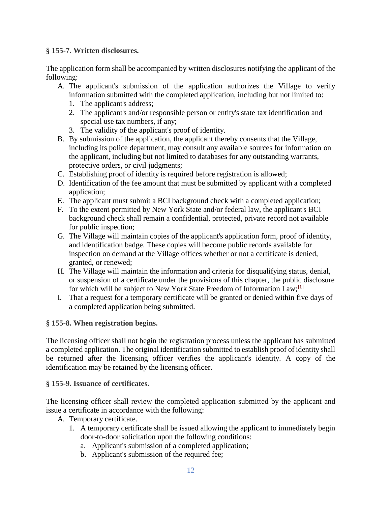### **§ [155-7. Written disclosures.](https://www.ecode360.com/print/MO0222?guid=7233736&children=true#7233748)**

The application form shall be accompanied by written disclosures notifying the applicant of the following:

- A. The applicant's submission of the application authorizes the Village to verify information submitted with the completed application, including but not limited to:
	- 1. The applicant's address;
	- 2. The applicant's and/or responsible person or entity's state tax identification and special use tax numbers, if any;
	- 3. The validity of the applicant's proof of identity.
- B. By submission of the application, the applicant thereby consents that the Village, including its police department, may consult any available sources for information on the applicant, including but not limited to databases for any outstanding warrants, protective orders, or civil judgments;
- C. Establishing proof of identity is required before registration is allowed;
- D. Identification of the fee amount that must be submitted by applicant with a completed application;
- E. The applicant must submit a BCI background check with a completed application;
- F. To the extent permitted by New York State and/or federal law, the applicant's BCI background check shall remain a confidential, protected, private record not available for public inspection;
- G. The Village will maintain copies of the applicant's application form, proof of identity, and identification badge. These copies will become public records available for inspection on demand at the Village offices whether or not a certificate is denied, granted, or renewed;
- H. The Village will maintain the information and criteria for disqualifying status, denial, or suspension of a certificate under the provisions of this chapter, the public disclosure for which will be subject to New York State Freedom of Information Law;**[\[1\]](https://www.ecode360.com/print/MO0222?guid=7233736&children=true#ft33112473-1)**
- I. That a request for a temporary certificate will be granted or denied within five days of a completed application being submitted.

## **§ [155-8. When registration begins.](https://www.ecode360.com/print/MO0222?guid=7233736&children=true#7233749)**

The licensing officer shall not begin the registration process unless the applicant has submitted a completed application. The original identification submitted to establish proof of identity shall be returned after the licensing officer verifies the applicant's identity. A copy of the identification may be retained by the licensing officer.

## **§ [155-9. Issuance of certificates.](https://www.ecode360.com/print/MO0222?guid=7233736&children=true#7233756)**

The licensing officer shall review the completed application submitted by the applicant and issue a certificate in accordance with the following:

- A. Temporary certificate.
	- 1. A temporary certificate shall be issued allowing the applicant to immediately begin door-to-door solicitation upon the following conditions:
		- a. Applicant's submission of a completed application;
		- b. Applicant's submission of the required fee;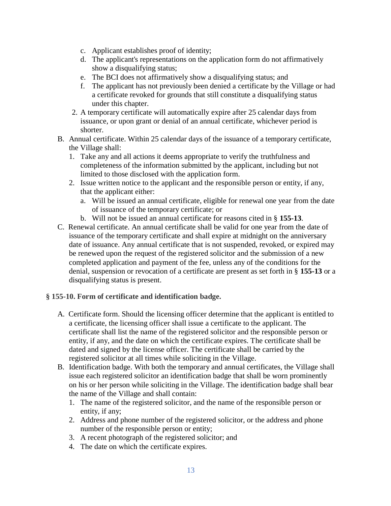- c. Applicant establishes proof of identity;
- d. The applicant's representations on the application form do not affirmatively show a disqualifying status;
- e. The BCI does not affirmatively show a disqualifying status; and
- f. The applicant has not previously been denied a certificate by the Village or had a certificate revoked for grounds that still constitute a disqualifying status under this chapter.
- 2. A temporary certificate will automatically expire after 25 calendar days from issuance, or upon grant or denial of an annual certificate, whichever period is shorter.
- B. Annual certificate. Within 25 calendar days of the issuance of a temporary certificate, the Village shall:
	- 1. Take any and all actions it deems appropriate to verify the truthfulness and completeness of the information submitted by the applicant, including but not limited to those disclosed with the application form.
	- 2. Issue written notice to the applicant and the responsible person or entity, if any, that the applicant either:
		- a. Will be issued an annual certificate, eligible for renewal one year from the date of issuance of the temporary certificate; or
		- b. Will not be issued an annual certificate for reasons cited in § **[155-13](https://www.ecode360.com/print/15368633#15368633)**.
- [C.](https://www.ecode360.com/print/33112489#33112489) Renewal certificate. An annual certificate shall be valid for one year from the date of issuance of the temporary certificate and shall expire at midnight on the anniversary date of issuance. Any annual certificate that is not suspended, revoked, or expired may be renewed upon the request of the registered solicitor and the submission of a new completed application and payment of the fee, unless any of the conditions for the denial, suspension or revocation of a certificate are present as set forth in § **[155-13](https://www.ecode360.com/print/15368633#15368633)** or a disqualifying status is present.

#### **§ [155-10. Form of certificate and identification badge.](https://www.ecode360.com/print/MO0222?guid=7233736&children=true#7233759)**

- [A.](https://www.ecode360.com/print/15368615#15368615) Certificate form. Should the licensing officer determine that the applicant is entitled to a certificate, the licensing officer shall issue a certificate to the applicant. The certificate shall list the name of the registered solicitor and the responsible person or entity, if any, and the date on which the certificate expires. The certificate shall be dated and signed by the license officer. The certificate shall be carried by the registered solicitor at all times while soliciting in the Village.
- B. Identification badge. With both the temporary and annual certificates, the Village shall issue each registered solicitor an identification badge that shall be worn prominently on his or her person while soliciting in the Village. The identification badge shall bear the name of the Village and shall contain:
	- 1. The name of the registered solicitor, and the name of the responsible person or entity, if any;
	- 2. Address and phone number of the registered solicitor, or the address and phone number of the responsible person or entity;
	- 3. A recent photograph of the registered solicitor; and
	- 4. The date on which the certificate expires.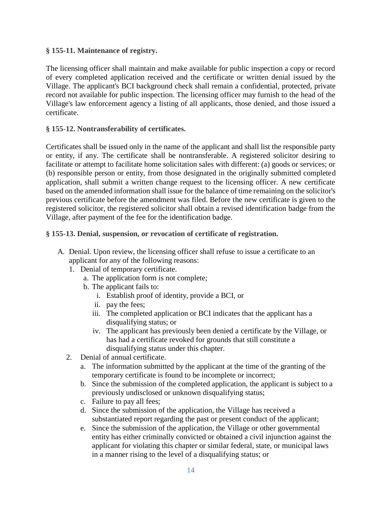### **§ [155-11. Maintenance of registry.](https://www.ecode360.com/print/MO0222?guid=7233736&children=true#7233760)**

The licensing officer shall maintain and make available for public inspection a copy or record of every completed application received and the certificate or written denial issued by the Village. The applicant's BCI background check shall remain a confidential, protected, private record not available for public inspection. The licensing officer may furnish to the head of the Village's law enforcement agency a listing of all applicants, those denied, and those issued a certificate.

### **§ [155-12. Nontransferability of certificates.](https://www.ecode360.com/print/MO0222?guid=7233736&children=true#15368632)**

Certificates shall be issued only in the name of the applicant and shall list the responsible party or entity, if any. The certificate shall be nontransferable. A registered solicitor desiring to facilitate or attempt to facilitate home solicitation sales with different: (a) goods or services; or (b) responsible person or entity, from those designated in the originally submitted completed application, shall submit a written change request to the licensing officer. A new certificate based on the amended information shall issue for the balance of time remaining on the solicitor's previous certificate before the amendment was filed. Before the new certificate is given to the registered solicitor, the registered solicitor shall obtain a revised identification badge from the Village, after payment of the fee for the identification badge.

### **§ [155-13. Denial, suspension, or revocation of certificate of registration.](https://www.ecode360.com/print/MO0222?guid=7233736&children=true#15368633)**

- A. Denial. Upon review, the licensing officer shall refuse to issue a certificate to an applicant for any of the following reasons:
	- 1. Denial of temporary certificate.
		- a. The application form is not complete;
		- b. The applicant fails to:
			- i. Establish proof of identity, provide a BCI, or
			- ii. pay the fees;
			- iii. The completed application or BCI indicates that the applicant has a disqualifying status; or
			- iv. The applicant has previously been denied a certificate by the Village, or has had a certificate revoked for grounds that still constitute a disqualifying status under this chapter.
	- 2. Denial of annual certificate.
		- a. The information submitted by the applicant at the time of the granting of the temporary certificate is found to be incomplete or incorrect;
		- b. Since the submission of the completed application, the applicant is subject to a previously undisclosed or unknown disqualifying status;
		- c. Failure to pay all fees;
		- d. Since the submission of the application, the Village has received a substantiated report regarding the past or present conduct of the applicant;
		- e. Since the submission of the application, the Village or other governmental entity has either criminally convicted or obtained a civil injunction against the applicant for violating this chapter or similar federal, state, or municipal laws in a manner rising to the level of a disqualifying status; or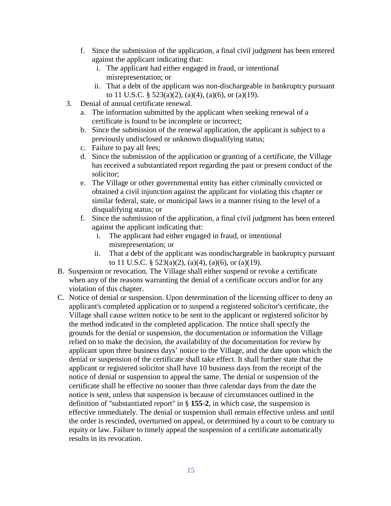- f. Since the submission of the application, a final civil judgment has been entered against the applicant indicating that:
	- i. The applicant had either engaged in fraud, or intentional misrepresentation; or
	- ii. That a debt of the applicant was non-dischargeable in bankruptcy pursuant to 11 U.S.C. §  $523(a)(2)$ ,  $(a)(4)$ ,  $(a)(6)$ , or  $(a)(19)$ .
- 3. Denial of annual certificate renewal.
	- a. The information submitted by the applicant when seeking renewal of a certificate is found to be incomplete or incorrect;
	- b. Since the submission of the renewal application, the applicant is subject to a previously undisclosed or unknown disqualifying status;
	- c. Failure to pay all fees;
	- d. Since the submission of the application or granting of a certificate, the Village has received a substantiated report regarding the past or present conduct of the solicitor;
	- e. The Village or other governmental entity has either criminally convicted or obtained a civil injunction against the applicant for violating this chapter or similar federal, state, or municipal laws in a manner rising to the level of a disqualifying status; or
	- f. Since the submission of the application, a final civil judgment has been entered against the applicant indicating that:
		- i. The applicant had either engaged in fraud, or intentional misrepresentation; or
		- ii. That a debt of the applicant was nondischargeable in bankruptcy pursuant to 11 U.S.C. §  $523(a)(2)$ ,  $(a)(4)$ ,  $(a)(6)$ , or  $(a)(19)$ .
- [B.](https://www.ecode360.com/print/15368640#15368640) Suspension or revocation. The Village shall either suspend or revoke a certificate when any of the reasons warranting the denial of a certificate occurs and/or for any violation of this chapter.
- C. Notice of denial or suspension. Upon determination of the licensing officer to deny an applicant's completed application or to suspend a registered solicitor's certificate, the Village shall cause written notice to be sent to the applicant or registered solicitor by the method indicated in the completed application. The notice shall specify the grounds for the denial or suspension, the documentation or information the Village relied on to make the decision, the availability of the documentation for review by applicant upon three business days' notice to the Village, and the date upon which the denial or suspension of the certificate shall take effect. It shall further state that the applicant or registered solicitor shall have 10 business days from the receipt of the notice of denial or suspension to appeal the same. The denial or suspension of the certificate shall be effective no sooner than three calendar days from the date the notice is sent, unless that suspension is because of circumstances outlined in the definition of "substantiated report" in § **[155-2](https://www.ecode360.com/print/7233740#7233740)**, in which case, the suspension is effective immediately. The denial or suspension shall remain effective unless and until the order is rescinded, overturned on appeal, or determined by a court to be contrary to equity or law. Failure to timely appeal the suspension of a certificate automatically results in its revocation.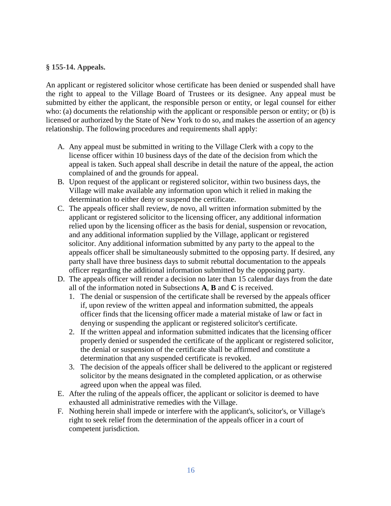### **§ [155-14. Appeals.](https://www.ecode360.com/print/MO0222?guid=7233736&children=true#15368641)**

An applicant or registered solicitor whose certificate has been denied or suspended shall have the right to appeal to the Village Board of Trustees or its designee. Any appeal must be submitted by either the applicant, the responsible person or entity, or legal counsel for either who: (a) documents the relationship with the applicant or responsible person or entity; or (b) is licensed or authorized by the State of New York to do so, and makes the assertion of an agency relationship. The following procedures and requirements shall apply:

- A. Any appeal must be submitted in writing to the Village Clerk with a copy to the license officer within 10 business days of the date of the decision from which the appeal is taken. Such appeal shall describe in detail the nature of the appeal, the action complained of and the grounds for appeal.
- B. Upon request of the applicant or registered solicitor, within two business days, the Village will make available any information upon which it relied in making the determination to either deny or suspend the certificate.
- C. The appeals officer shall review, de novo, all written information submitted by the applicant or registered solicitor to the licensing officer, any additional information relied upon by the licensing officer as the basis for denial, suspension or revocation, and any additional information supplied by the Village, applicant or registered solicitor. Any additional information submitted by any party to the appeal to the appeals officer shall be simultaneously submitted to the opposing party. If desired, any party shall have three business days to submit rebuttal documentation to the appeals officer regarding the additional information submitted by the opposing party.
- D. The appeals officer will render a decision no later than 15 calendar days from the date all of the information noted in Subsections **[A](https://www.ecode360.com/print/33112517#33112517)**, **[B](https://www.ecode360.com/print/33112518#33112518)** and **[C](https://www.ecode360.com/print/33112519#33112519)** is received.
	- 1. The denial or suspension of the certificate shall be reversed by the appeals officer if, upon review of the written appeal and information submitted, the appeals officer finds that the licensing officer made a material mistake of law or fact in denying or suspending the applicant or registered solicitor's certificate.
	- 2. If the written appeal and information submitted indicates that the licensing officer properly denied or suspended the certificate of the applicant or registered solicitor, the denial or suspension of the certificate shall be affirmed and constitute a determination that any suspended certificate is revoked.
	- 3. The decision of the appeals officer shall be delivered to the applicant or registered solicitor by the means designated in the completed application, or as otherwise agreed upon when the appeal was filed.
- E. After the ruling of the appeals officer, the applicant or solicitor is deemed to have exhausted all administrative remedies with the Village.
- F. Nothing herein shall impede or interfere with the applicant's, solicitor's, or Village's right to seek relief from the determination of the appeals officer in a court of competent jurisdiction.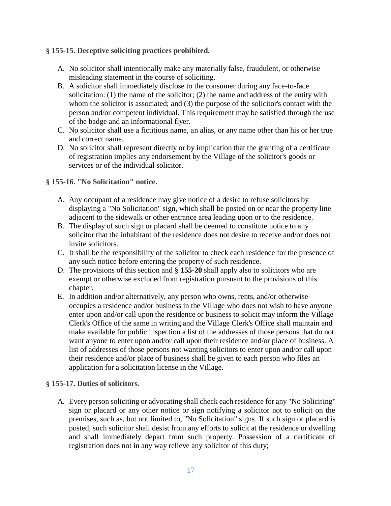### **§ [155-15. Deceptive soliciting practices prohibited.](https://www.ecode360.com/print/MO0222?guid=7233736&children=true#15368642)**

- A. No solicitor shall intentionally make any materially false, fraudulent, or otherwise misleading statement in the course of soliciting.
- B. A solicitor shall immediately disclose to the consumer during any face-to-face solicitation: (1) the name of the solicitor; (2) the name and address of the entity with whom the solicitor is associated; and (3) the purpose of the solicitor's contact with the person and/or competent individual. This requirement may be satisfied through the use of the badge and an informational flyer.
- C. No solicitor shall use a fictitious name, an alias, or any name other than his or her true and correct name.
- D. No solicitor shall represent directly or by implication that the granting of a certificate of registration implies any endorsement by the Village of the solicitor's goods or services or of the individual solicitor.

### **§ [155-16. "No Solicitation" notice.](https://www.ecode360.com/print/MO0222?guid=7233736&children=true#15368643)**

- A. Any occupant of a residence may give notice of a desire to refuse solicitors by displaying a "No Solicitation" sign, which shall be posted on or near the property line adjacent to the sidewalk or other entrance area leading upon or to the residence.
- B. The display of such sign or placard shall be deemed to constitute notice to any solicitor that the inhabitant of the residence does not desire to receive and/or does not invite solicitors.
- C. It shall be the responsibility of the solicitor to check each residence for the presence of any such notice before entering the property of such residence.
- D. The provisions of this section and § **[155-20](https://www.ecode360.com/print/33112546#33112546)** shall apply also to solicitors who are exempt or otherwise excluded from registration pursuant to the provisions of this chapter.
- E. In addition and/or alternatively, any person who owns, rents, and/or otherwise occupies a residence and/or business in the Village who does not wish to have anyone enter upon and/or call upon the residence or business to solicit may inform the Village Clerk's Office of the same in writing and the Village Clerk's Office shall maintain and make available for public inspection a list of the addresses of those persons that do not want anyone to enter upon and/or call upon their residence and/or place of business. A list of addresses of those persons not wanting solicitors to enter upon and/or call upon their residence and/or place of business shall be given to each person who files an application for a solicitation license in the Village.

#### **§ [155-17. Duties of solicitors.](https://www.ecode360.com/print/MO0222?guid=7233736&children=true#33112535)**

A. Every person soliciting or advocating shall check each residence for any "No Soliciting" sign or placard or any other notice or sign notifying a solicitor not to solicit on the premises, such as, but not limited to, "No Solicitation" signs. If such sign or placard is posted, such solicitor shall desist from any efforts to solicit at the residence or dwelling and shall immediately depart from such property. Possession of a certificate of registration does not in any way relieve any solicitor of this duty;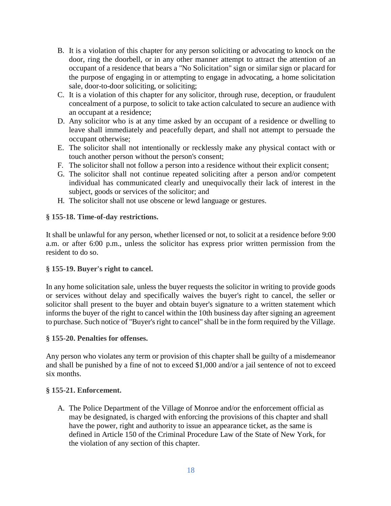- B. It is a violation of this chapter for any person soliciting or advocating to knock on the door, ring the doorbell, or in any other manner attempt to attract the attention of an occupant of a residence that bears a "No Solicitation" sign or similar sign or placard for the purpose of engaging in or attempting to engage in advocating, a home solicitation sale, door-to-door soliciting, or soliciting;
- C. It is a violation of this chapter for any solicitor, through ruse, deception, or fraudulent concealment of a purpose, to solicit to take action calculated to secure an audience with an occupant at a residence;
- D. Any solicitor who is at any time asked by an occupant of a residence or dwelling to leave shall immediately and peacefully depart, and shall not attempt to persuade the occupant otherwise;
- E. The solicitor shall not intentionally or recklessly make any physical contact with or touch another person without the person's consent;
- F. The solicitor shall not follow a person into a residence without their explicit consent;
- G. The solicitor shall not continue repeated soliciting after a person and/or competent individual has communicated clearly and unequivocally their lack of interest in the subject, goods or services of the solicitor; and
- H. The solicitor shall not use obscene or lewd language or gestures.

## **§ [155-18. Time-of-day restrictions.](https://www.ecode360.com/print/MO0222?guid=7233736&children=true#33112544)**

It shall be unlawful for any person, whether licensed or not, to solicit at a residence before 9:00 a.m. or after 6:00 p.m., unless the solicitor has express prior written permission from the resident to do so.

## **§ [155-19. Buyer's right to cancel.](https://www.ecode360.com/print/MO0222?guid=7233736&children=true#33112545)**

In any home solicitation sale, unless the buyer requests the solicitor in writing to provide goods or services without delay and specifically waives the buyer's right to cancel, the seller or solicitor shall present to the buyer and obtain buyer's signature to a written statement which informs the buyer of the right to cancel within the 10th business day after signing an agreement to purchase. Such notice of "Buyer's right to cancel" shall be in the form required by the Village.

## **§ [155-20. Penalties for offenses.](https://www.ecode360.com/print/MO0222?guid=7233736&children=true#33112546)**

Any person who violates any term or provision of this chapter shall be guilty of a misdemeanor and shall be punished by a fine of not to exceed \$1,000 and/or a jail sentence of not to exceed six months.

## **§ [155-21. Enforcement.](https://www.ecode360.com/print/MO0222?guid=7233736&children=true#33112547)**

A. The Police Department of the Village of Monroe and/or the enforcement official as may be designated, is charged with enforcing the provisions of this chapter and shall have the power, right and authority to issue an appearance ticket, as the same is defined in Article 150 of the Criminal Procedure Law of the State of New York, for the violation of any section of this chapter.